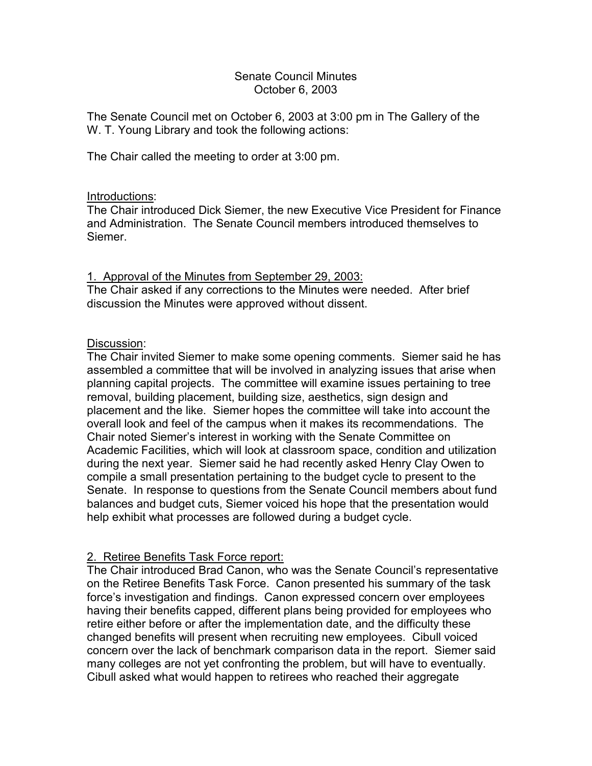## Senate Council Minutes October 6, 2003

The Senate Council met on October 6, 2003 at 3:00 pm in The Gallery of the W. T. Young Library and took the following actions:

The Chair called the meeting to order at 3:00 pm.

## Introductions:

The Chair introduced Dick Siemer, the new Executive Vice President for Finance and Administration. The Senate Council members introduced themselves to Siemer.

## 1. Approval of the Minutes from September 29, 2003:

The Chair asked if any corrections to the Minutes were needed. After brief discussion the Minutes were approved without dissent.

## Discussion:

The Chair invited Siemer to make some opening comments. Siemer said he has assembled a committee that will be involved in analyzing issues that arise when planning capital projects. The committee will examine issues pertaining to tree removal, building placement, building size, aesthetics, sign design and placement and the like. Siemer hopes the committee will take into account the overall look and feel of the campus when it makes its recommendations. The Chair noted Siemer's interest in working with the Senate Committee on Academic Facilities, which will look at classroom space, condition and utilization during the next year. Siemer said he had recently asked Henry Clay Owen to compile a small presentation pertaining to the budget cycle to present to the Senate. In response to questions from the Senate Council members about fund balances and budget cuts, Siemer voiced his hope that the presentation would help exhibit what processes are followed during a budget cycle.

# 2. Retiree Benefits Task Force report:

The Chair introduced Brad Canon, who was the Senate Council's representative on the Retiree Benefits Task Force. Canon presented his summary of the task force's investigation and findings. Canon expressed concern over employees having their benefits capped, different plans being provided for employees who retire either before or after the implementation date, and the difficulty these changed benefits will present when recruiting new employees. Cibull voiced concern over the lack of benchmark comparison data in the report. Siemer said many colleges are not yet confronting the problem, but will have to eventually. Cibull asked what would happen to retirees who reached their aggregate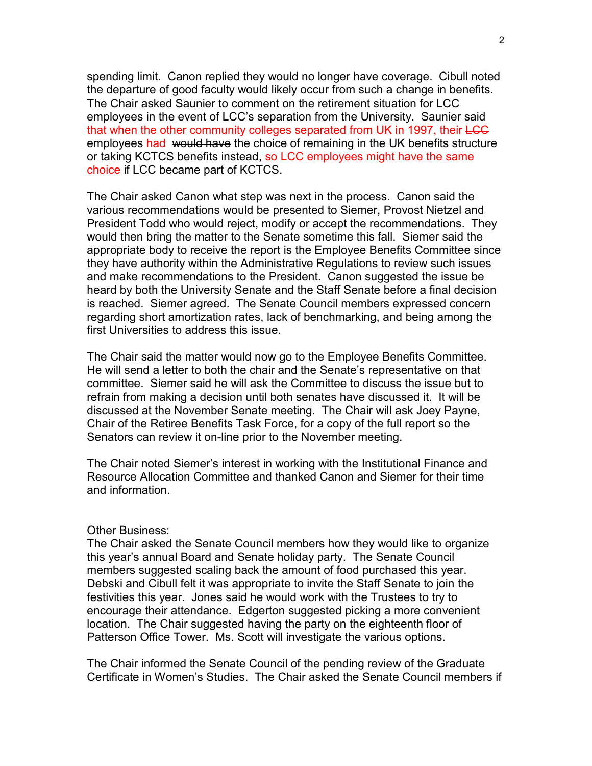spending limit. Canon replied they would no longer have coverage. Cibull noted the departure of good faculty would likely occur from such a change in benefits. The Chair asked Saunier to comment on the retirement situation for LCC employees in the event of LCC's separation from the University. Saunier said that when the other community colleges separated from UK in 1997, their LCC employees had would have the choice of remaining in the UK benefits structure or taking KCTCS benefits instead, so LCC employees might have the same choice if LCC became part of KCTCS.

The Chair asked Canon what step was next in the process. Canon said the various recommendations would be presented to Siemer, Provost Nietzel and President Todd who would reject, modify or accept the recommendations. They would then bring the matter to the Senate sometime this fall. Siemer said the appropriate body to receive the report is the Employee Benefits Committee since they have authority within the Administrative Regulations to review such issues and make recommendations to the President. Canon suggested the issue be heard by both the University Senate and the Staff Senate before a final decision is reached. Siemer agreed. The Senate Council members expressed concern regarding short amortization rates, lack of benchmarking, and being among the first Universities to address this issue.

The Chair said the matter would now go to the Employee Benefits Committee. He will send a letter to both the chair and the Senate's representative on that committee. Siemer said he will ask the Committee to discuss the issue but to refrain from making a decision until both senates have discussed it. It will be discussed at the November Senate meeting. The Chair will ask Joey Payne, Chair of the Retiree Benefits Task Force, for a copy of the full report so the Senators can review it on-line prior to the November meeting.

The Chair noted Siemer's interest in working with the Institutional Finance and Resource Allocation Committee and thanked Canon and Siemer for their time and information.

### Other Business:

The Chair asked the Senate Council members how they would like to organize this year's annual Board and Senate holiday party. The Senate Council members suggested scaling back the amount of food purchased this year. Debski and Cibull felt it was appropriate to invite the Staff Senate to join the festivities this year. Jones said he would work with the Trustees to try to encourage their attendance. Edgerton suggested picking a more convenient location. The Chair suggested having the party on the eighteenth floor of Patterson Office Tower. Ms. Scott will investigate the various options.

The Chair informed the Senate Council of the pending review of the Graduate Certificate in Women's Studies. The Chair asked the Senate Council members if